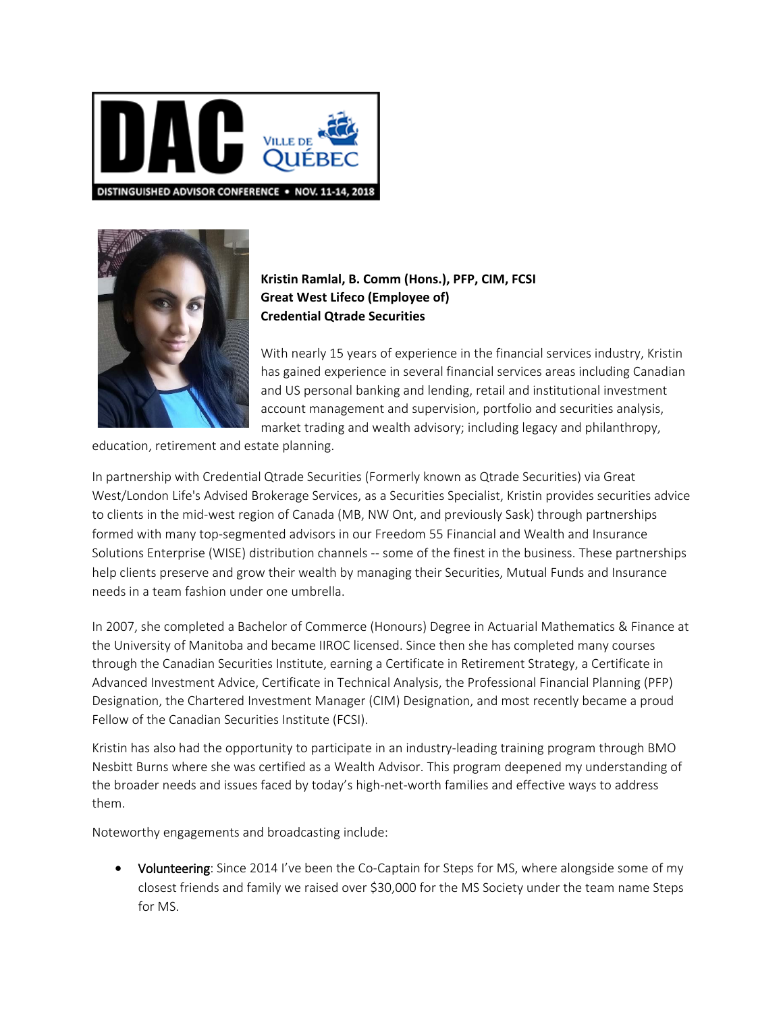



## **Kristin Ramlal, B. Comm (Hons.), PFP, CIM, FCSI Great West Lifeco (Employee of) Credential Qtrade Securities**

With nearly 15 years of experience in the financial services industry, Kristin has gained experience in several financial services areas including Canadian and US personal banking and lending, retail and institutional investment account management and supervision, portfolio and securities analysis, market trading and wealth advisory; including legacy and philanthropy,

education, retirement and estate planning.

In partnership with Credential Qtrade Securities (Formerly known as Qtrade Securities) via Great West/London Life's Advised Brokerage Services, as a Securities Specialist, Kristin provides securities advice to clients in the mid-west region of Canada (MB, NW Ont, and previously Sask) through partnerships formed with many top-segmented advisors in our Freedom 55 Financial and Wealth and Insurance Solutions Enterprise (WISE) distribution channels -- some of the finest in the business. These partnerships help clients preserve and grow their wealth by managing their Securities, Mutual Funds and Insurance needs in a team fashion under one umbrella[.](https://www.linkedin.com/in/kristinramlal/detail/treasury/position:591211060/?entityUrn=urn%3Ali%3Afs_treasuryMedia%3A(ACoAAAtMC2cB9sVdcNsrrqw2I_aXWS61FCMcXw0%2C1500396187401)§ion=position%3A591211060&treasuryCount=4) 

In 2007, she completed a Bachelor of Commerce (Honours) Degree in Actuarial Mathematics & Finance at the University of Manitoba and became IIROC licensed. Since then she has completed many courses through the Canadian Securities Institute, earning a Certificate in Retirement Strategy, a Certificate in Advanced Investment Advice, Certificate in Technical Analysis, the Professional Financial Planning (PFP) Designation, the Chartered Investment Manager (CIM) Designation, and most recently became a proud Fellow of the Canadian Securities Institute (FCSI).

Kristin has also had the opportunity to participate in an industry-leading training program through BMO Nesbitt Burns where she was certified as a Wealth Advisor. This program deepened my understanding of the broader needs and issues faced by today's high-net-worth families and effective ways to address them.

Noteworthy engagements and broadcasting include:

• Volunteering: Since 2014 I've been the Co-Captain for Steps for MS, where alongside some of my closest friends and family we raised over \$30,000 for the MS Society under the team name Steps for MS.